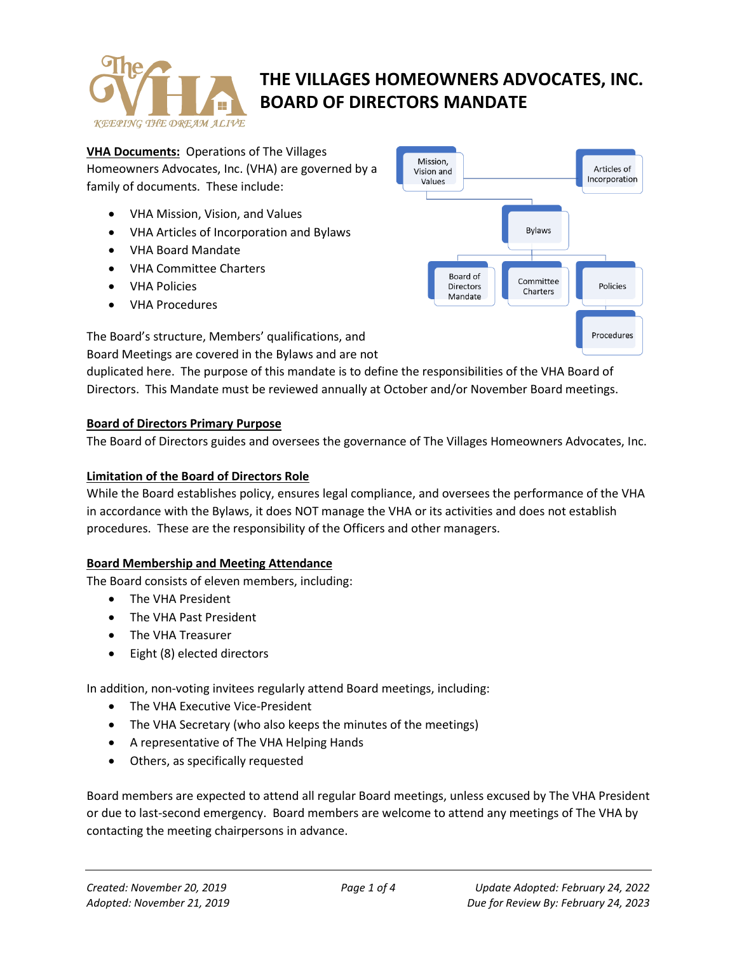

**VHA Documents:** Operations of The Villages Homeowners Advocates, Inc. (VHA) are governed by a family of documents. These include:

- VHA Mission, Vision, and Values
- VHA Articles of Incorporation and Bylaws
- VHA Board Mandate
- VHA Committee Charters
- VHA Policies
- VHA Procedures

The Board's structure, Members' qualifications, and

Board Meetings are covered in the Bylaws and are not

duplicated here. The purpose of this mandate is to define the responsibilities of the VHA Board of Directors. This Mandate must be reviewed annually at October and/or November Board meetings.

## **Board of Directors Primary Purpose**

The Board of Directors guides and oversees the governance of The Villages Homeowners Advocates, Inc.

## **Limitation of the Board of Directors Role**

While the Board establishes policy, ensures legal compliance, and oversees the performance of the VHA in accordance with the Bylaws, it does NOT manage the VHA or its activities and does not establish procedures. These are the responsibility of the Officers and other managers.

## **Board Membership and Meeting Attendance**

The Board consists of eleven members, including:

- The VHA President
- The VHA Past President
- The VHA Treasurer
- Eight (8) elected directors

In addition, non-voting invitees regularly attend Board meetings, including:

- The VHA Executive Vice-President
- The VHA Secretary (who also keeps the minutes of the meetings)
- A representative of The VHA Helping Hands
- Others, as specifically requested

Board members are expected to attend all regular Board meetings, unless excused by The VHA President or due to last-second emergency. Board members are welcome to attend any meetings of The VHA by contacting the meeting chairpersons in advance.

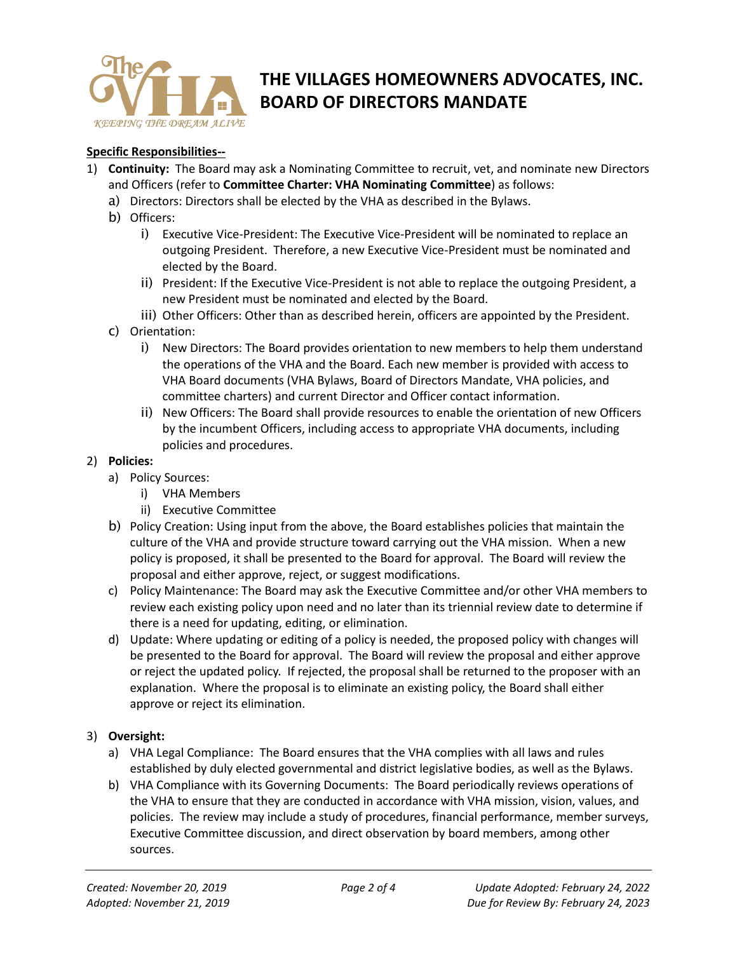

## **Specific Responsibilities--**

- 1) **Continuity:** The Board may ask a Nominating Committee to recruit, vet, and nominate new Directors and Officers (refer to **Committee Charter: VHA Nominating Committee**) as follows:
	- a) Directors: Directors shall be elected by the VHA as described in the Bylaws.
	- b) Officers:
		- i) Executive Vice-President: The Executive Vice-President will be nominated to replace an outgoing President. Therefore, a new Executive Vice-President must be nominated and elected by the Board.
		- ii) President: If the Executive Vice-President is not able to replace the outgoing President, a new President must be nominated and elected by the Board.
		- iii) Other Officers: Other than as described herein, officers are appointed by the President.
	- c) Orientation:
		- i) New Directors: The Board provides orientation to new members to help them understand the operations of the VHA and the Board. Each new member is provided with access to VHA Board documents (VHA Bylaws, Board of Directors Mandate, VHA policies, and committee charters) and current Director and Officer contact information.
		- ii) New Officers: The Board shall provide resources to enable the orientation of new Officers by the incumbent Officers, including access to appropriate VHA documents, including policies and procedures.

### 2) **Policies:**

- a) Policy Sources:
	- i) VHA Members
	- ii) Executive Committee
- b) Policy Creation: Using input from the above, the Board establishes policies that maintain the culture of the VHA and provide structure toward carrying out the VHA mission. When a new policy is proposed, it shall be presented to the Board for approval. The Board will review the proposal and either approve, reject, or suggest modifications.
- c) Policy Maintenance: The Board may ask the Executive Committee and/or other VHA members to review each existing policy upon need and no later than its triennial review date to determine if there is a need for updating, editing, or elimination.
- d) Update: Where updating or editing of a policy is needed, the proposed policy with changes will be presented to the Board for approval. The Board will review the proposal and either approve or reject the updated policy. If rejected, the proposal shall be returned to the proposer with an explanation. Where the proposal is to eliminate an existing policy, the Board shall either approve or reject its elimination.

## 3) **Oversight:**

- a) VHA Legal Compliance: The Board ensures that the VHA complies with all laws and rules established by duly elected governmental and district legislative bodies, as well as the Bylaws.
- b) VHA Compliance with its Governing Documents: The Board periodically reviews operations of the VHA to ensure that they are conducted in accordance with VHA mission, vision, values, and policies. The review may include a study of procedures, financial performance, member surveys, Executive Committee discussion, and direct observation by board members, among other sources.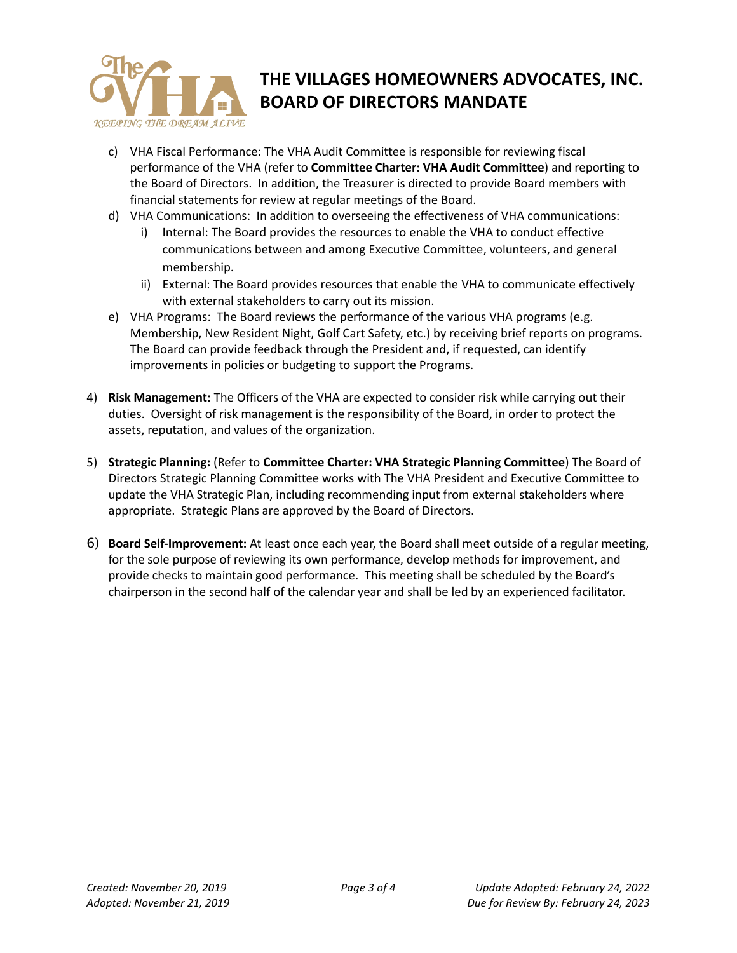

- c) VHA Fiscal Performance: The VHA Audit Committee is responsible for reviewing fiscal performance of the VHA (refer to **Committee Charter: VHA Audit Committee**) and reporting to the Board of Directors. In addition, the Treasurer is directed to provide Board members with financial statements for review at regular meetings of the Board.
- d) VHA Communications: In addition to overseeing the effectiveness of VHA communications:
	- i) Internal: The Board provides the resources to enable the VHA to conduct effective communications between and among Executive Committee, volunteers, and general membership.
	- ii) External: The Board provides resources that enable the VHA to communicate effectively with external stakeholders to carry out its mission.
- e) VHA Programs: The Board reviews the performance of the various VHA programs (e.g. Membership, New Resident Night, Golf Cart Safety, etc.) by receiving brief reports on programs. The Board can provide feedback through the President and, if requested, can identify improvements in policies or budgeting to support the Programs.
- 4) **Risk Management:** The Officers of the VHA are expected to consider risk while carrying out their duties. Oversight of risk management is the responsibility of the Board, in order to protect the assets, reputation, and values of the organization.
- 5) **Strategic Planning:** (Refer to **Committee Charter: VHA Strategic Planning Committee**) The Board of Directors Strategic Planning Committee works with The VHA President and Executive Committee to update the VHA Strategic Plan, including recommending input from external stakeholders where appropriate. Strategic Plans are approved by the Board of Directors.
- 6) **Board Self-Improvement:** At least once each year, the Board shall meet outside of a regular meeting, for the sole purpose of reviewing its own performance, develop methods for improvement, and provide checks to maintain good performance. This meeting shall be scheduled by the Board's chairperson in the second half of the calendar year and shall be led by an experienced facilitator.